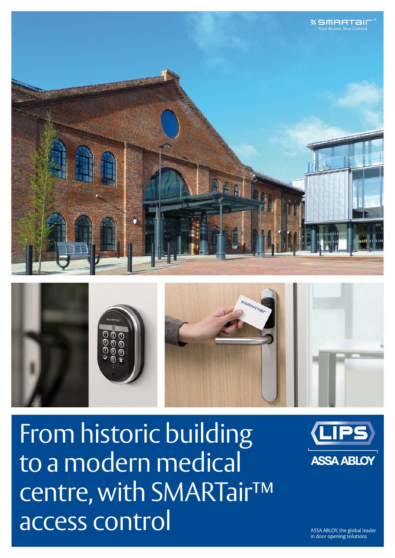

From historic building to a modern medical centre, with SMARTair™ access control



ASSA ABLOY, the global leader in door opening solutions